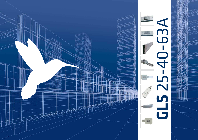

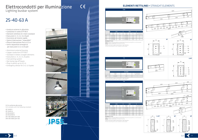- Involucro esterno in alluminio
- Conduttori in rame ETP 99,9
- Elementi rettilinei di 3 metri standard
- Esecuzioni 2, 4, 2+2, 6 e 8 poli
- Giunzione ad innesto rapido
- Spine di derivazione "imperdibili"
- Prese di derivazione fino a 0,5 m
- Setto separatore emergenza per esecuzioni 2+2, 6 e 8 poli
- Aluminium external housing
- Copper conductors ETP 99,9
- Standard 3 meters straight elements
- Executions 2, 4, 2+2, 6, 8 poles
- Fast jointing system
- Not losing tap off boxes
- Plug-in points up to 0,5 m
- Emergency divisor for 2+2, 6, 8 poles











**P55** 

# Elettrocondotti per illuminazione

Lighting busbar system

# 25-40-63 A

GLS è conforme alle norme:

GLS complies with the following standard:

IEC 61439-1 IEC 61439-6 CEI EN 61439-1 CEI EN 61439-6 DIV VDE 0660 part 500 DIN VDE 0660 part 502

OPZIONI/OPTIONS <u>COP V:</u> Involucro verniciato (RAL da comunicare)./Painted housing (RAL to communicate).<br><u>COP N:</u> Involucro anodizzato./Anodyzed housing.



|    |                   | 25 A |                | 40 A |                                  |  |
|----|-------------------|------|----------------|------|----------------------------------|--|
|    | Codice<br>Code    | kg   | Codice<br>Code | kg   | N° derivazioni<br>Tap off points |  |
| 2P | GL 52532          | 1,59 | GLS4032        | 1,71 |                                  |  |
| 2P | GL 525325         | 1.65 | GLS40325       | 1.74 | Б                                |  |
| 4P | GL 52534          | 1.77 | GLS4034        | 1.89 |                                  |  |
| 4P | GL 525345<br>1,83 |      | GLS40345       | 1.92 | 6                                |  |



OPZIONI/OPTIONS

 $C \in$ 

COP V: Involucro verniciato (RAL da comunicare)./Painted housing (RAL to communicate). COP N: Involucro anodizzato./Anodyzed housing.

Il giunto ad innesto rapido è premontato in ogni elemento. The fast mounting joint is pre-installed in every lenght.



|        | 25 A           |      |                | 40 A |                                  |  |  |
|--------|----------------|------|----------------|------|----------------------------------|--|--|
|        | Codice<br>Code | kg   | Codice<br>Code | kg   | N° derivazioni<br>Tap off points |  |  |
| $2+2P$ | GL 5253D       | 2,70 | GLS403D        | 2,88 | $3+3$                            |  |  |
| $2+2P$ | GL 5253D5      | 2.78 | GLS403D5       | 2.96 | $6 + 6$                          |  |  |
| 6P     | GLS2536        | 2,82 | GLS4036        | 3.12 | $3+3$                            |  |  |
| 6P     | GLS25365       | 2.94 | GLS40365       | 3,24 | $6 + 6$                          |  |  |
| 8P     | GL 52538       | 2.94 | GLS4038        | 3.36 | $3 + 3$                          |  |  |
| 8P     | GLS25385       | 3.06 | GLS40385       | 3,48 | $6 + 6$                          |  |  |

Il giunto ad innesto rapido è premontato in ogni elemento.

The fast mounting joint is pre-installed in every lenght.

87

 $\frac{6}{7}$ 

### ELEMENTI RETTILINEI • STRAIGHT ELEMENTS



|                                                         | Codice<br>Code | kg   | N° derivazioni<br>Tap off points |  |  |  |  |
|---------------------------------------------------------|----------------|------|----------------------------------|--|--|--|--|
| 2P<br>4P                                                | GI 54014       | 0.69 |                                  |  |  |  |  |
| giunto ad innesto rapido è premontato in ogni elemento. |                |      |                                  |  |  |  |  |

Il giunto ad innesto rapido è premontato in ogni elemento. The fast mounting joint is pre-installed in every lenght.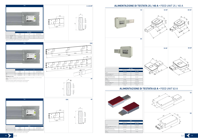





Il giunto ad innesto rapido è premontato in ogni elemento. The fast mounting joint is pre-installed in every lenght.

63 A Codice/Code Codice/Code

2/4P GLSATS63 GLSATD63 Foro passaggio cavi Cables entrance ø 35mm ø 35mm

Sezione massima cavo<br>Max cable cross section  $25 \text{ mm}^2$  25 mm<sup>2</sup> 25 mm<sup>2</sup>

Sezione massima cavo

Peso<br>Weight

 $DX / RH$ 

18 GLS GLS GLS GLS 19



Weight 1,7 Kg 1,6 Kg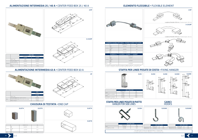#### ALIMENTAZIONE INTERMEDIA 25 / 40 A • CENTER FEED BOX 25 / 40 A

|                                                 | 23 A 7 40 A       |                   |  |  |
|-------------------------------------------------|-------------------|-------------------|--|--|
|                                                 | Codice/Code       | Codice/Code       |  |  |
|                                                 | GLSAI4            | GLSAI8            |  |  |
| Tipo / Type                                     | 2/4P              | $2+2/6/8P$        |  |  |
| Foro passaggio cavi<br>Cables entrance          | ø 30mm            | ø 30mm            |  |  |
| Sezione massima cavo<br>Max cable cross section | $16 \text{ mm}^2$ | $16 \text{ mm}^2$ |  |  |
| Peso<br>Weight                                  | $0,8$ Kg          | 1,2 Kg            |  |  |
|                                                 |                   |                   |  |  |



# 494 226 163 51 99 19) 2/4P 2+2/6/8P





#### 2/4P GLSS4 0,04 2+2/6/8P e / and 63 A GLSS8 0,05 2/4P GLSS4C 0,08 2+2/6/8P e / and 63 A GLSS8C 0,09

|         | 8P                 |                                                                                              |     |  |  |  |
|---------|--------------------|----------------------------------------------------------------------------------------------|-----|--|--|--|
| 63 A    | 4P                 | GLSFX63                                                                                      | 3.8 |  |  |  |
|         |                    | ELEMENTO A "T" FLESSIBILE . FLEXIBLE "T" ELEMENT                                             |     |  |  |  |
|         |                    | Codice/Code                                                                                  |     |  |  |  |
|         | 2P<br>4P           | GI SEX4T                                                                                     |     |  |  |  |
| 25/40 A | $2+2P$<br>6P<br>8P | GLSEX8T                                                                                      |     |  |  |  |
| 63 A    | 4P                 | GLSEX63T                                                                                     |     |  |  |  |
|         |                    | Su richiesta è disponibile il flessibile di lunghezza maggiore di 500 mm - cod. GLSFX•-xxxx. |     |  |  |  |

Su richiesta è disponibile il flessibile di lunghezza maggiore di 500 mm - cod. GLSFX•-xxxx. On request is available the flexible with lenght longer than 500 mm - cod. GLSFX•-xxxx.

### ELEMENTO FLESSIBILE • FLEXIBLE ELEMENT

#### STAFFA PER LINEE POSATE DI COSTA • FIXING HANGER



Utilizzare 2 staffe ogni barra da 3 m. Use 2 hangers every 3 m element.





### ALIMENTAZIONE INTERMEDIA 63 A • CENTER FEED BOX 63 A

#### CHIUSURA DI TESTATA • END CAP











#### STAFFA PER LINEE POSATE DI PIATTO HANGER FOR SIDE LINES



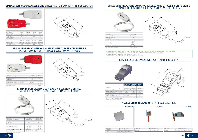| Codice/Code                                   | GL 510LN                    | GL 516LN                    | GI 51014                    | GI 51614                    |
|-----------------------------------------------|-----------------------------|-----------------------------|-----------------------------|-----------------------------|
| Materiale spina<br>Tap off material           | Plastica<br>Plastic         | Plastica<br>Plastic         | Plastica<br>Plastic         | Plastica<br>Plastic         |
| Conduttore/Conductor                          | Cп                          | fц                          | Cп                          | Cп                          |
| Portata/Rating                                | 10A                         | 16 A                        | 10A                         | 16 A                        |
| Sezione massima cavo<br>Max rable section     | $2.5$ mm <sup>2</sup>       | $2.5$ mm <sup>2</sup>       | $2.5$ mm <sup>2</sup>       | $2.5$ mm <sup>2</sup>       |
| Foro ingresso cavi max<br>Max. entrance cable | ø 13 mm                     | ø 13 mm                     | ø 13 mm                     | ø 13 mm                     |
| Base portafusibile<br>Fuse base type          | Non inclusa<br>Not included | Non inclusa<br>Not included | Non inclusa<br>Not included | Non inclusa<br>Not included |
| Esecuzione/Execution                          | $2P + PF$                   | $2P + PF$                   | $4P + PF$                   | $4P + PF$                   |

| Codice/Code                               | GLS16FN               | GLS16F4               |
|-------------------------------------------|-----------------------|-----------------------|
| Materiale spina/Tap off material          | Plastica/Plastic      | Plastica/Plastic      |
| Conduttore/Conductor                      | Cu                    | Cш                    |
| Portata/Rating                            | 16 A                  | 16 A                  |
| Sezione massima cavo/Max cable section    | $2.5$ mm <sup>2</sup> | $2.5$ mm <sup>2</sup> |
| Foro ingresso cavi max/Max entrance cable | ø 13 mm               | ø 13 mm               |
| Base portafusibile/Fuse base type         | $5 \times 20 - 6,3$ A | $5 \times 20 - 6.3$ A |
| Esecuzione/Execution                      | $2P + PF$             | $4P + PF$             |

#### SPINA DI DERIVAZIONE A SELEZIONE DI FASE • TAP OFF BOX WITH PHASE SELECTION



#### SPINA DI DERIVAZIONE 16 A A SELEZIONE DI FASE CON FUSIBILE TAP OFF BOX 16 A WITH PHASE SELECTION WITH FUSE



#### SPINA DI DERIVAZIONE CON CAVO A SELEZIONE DI FASE TAP OFF BOXES WITH CABLE WITH PHASE SELECTION



sponibili su richiesta spine per i circuiti d'emergenza di colore rosso. Per il codice, inserire la lettera "E" alla fine della spina richiesta. Es: GLS1OLNE. Available on request tap for emergency line in red color. For the code, put letter "E" at the end of the code. Ex: GLS1OLNE. Disponibili su richiesta spine colorate. Lotto minimo per colore: 500 pz. Available on request coloured tap off boxes. Minimum lot: 500 pcs / each color.

| Codice/Code                                      | GLS10L•C★                                                    | $GLS16L \cdot C \star$                                       |
|--------------------------------------------------|--------------------------------------------------------------|--------------------------------------------------------------|
| Materiale spina/Tap off material                 | Plastica/Plastic                                             | Plastica/Plastic                                             |
| Conduttore/Conductor                             | Cп                                                           | Cu                                                           |
| Portata/Rating                                   | 10A                                                          | 16 A                                                         |
| Base portafusibile/Fuse base type                | no                                                           | no                                                           |
| Esecuzione (•)/Execution (•)                     | $1 = 11 - N$<br>$7 = 17 - N$<br>$3 = 13 - N$<br>$4 = 3P - N$ | $1 = 11 - N$<br>$7 = 17 - N$<br>$3 = 13 - N$<br>$4 = 3P - N$ |
| Lunghezza cavo $(\star)$ /Cable lenght $(\star)$ | $1 m < \star < 10 m$                                         | $1 \text{ m} < \star < 10 \text{ m}$                         |
| Cavo standard/Standard cable                     | FROR 3 - 5G x 1.5                                            | FROR 3 - 5G x 1.5                                            |
|                                                  |                                                              |                                                              |

st FG70M1

| Codice/Code                                     | $GLS16F\cdot C\star$                                         |
|-------------------------------------------------|--------------------------------------------------------------|
| Materiale spina/Tap off material                | Plastica/Plastic                                             |
| Conduttore/Conductor                            | Cu                                                           |
| Portata/Rating                                  | 16 A                                                         |
| Base portafusibile/Fuse base type               | $5 \times 20 - 6.3$ A                                        |
| Esecuzione (•)/Execution (•)                    | $1 = F1 - N$<br>$7 = F7 - N$<br>$3 = F3 - N$<br>$4 = 3P - N$ |
| Lunhezza cavo $(\star)$ /Cable lenght $(\star)$ | $1 \text{ m} < \star < 10 \text{ m}$                         |
| Cavo standard/Standard cable                    | $FROR$ 3 - 5G $\times$ 1.5                                   |

#### SPINA DI DERIVAZIONE CON CAVO A SELEZIONE DI FASE E CON FUSIBILE TAP OFF BOX WITH CABLE FUSE AND PHASE SELECTION



### ACCESSORI DI RICAMBIO • SPARE ACCESSORIES



| <b>GLS0051</b>                                           |             | <b>GLS0038</b>                                                                              |
|----------------------------------------------------------|-------------|---------------------------------------------------------------------------------------------|
| Descrizione/Description                                  | Codice/Code | Descrizione/Description                                                                     |
| ntatto aggiuntivo per spina<br>Extra contact for tap off | GLS0038     | Contatto aggiuntivo per spina con portafusibile<br>Extra contact for tap off with fuse base |

22 GLS GLS CLS 23









### CASSETTA DI DERIVAZIONE 32 A • TAP OFF BOX 32 A



|                                                |                  | <b>CON PORTAFUSIBILE</b><br><b>WITH FUSE BASE</b> | <b>MODULARE</b><br><b>MODULAR</b> | <b>VUOTA</b><br><b>EMPTY</b> |
|------------------------------------------------|------------------|---------------------------------------------------|-----------------------------------|------------------------------|
| Codice/Code                                    | 2P               | GLS32F2                                           | GLS32M2                           | GLS32L2                      |
|                                                | 4P               | GI 532F4                                          | GL 532M4                          | GLS32L4                      |
| Materiale cassetta/Tap off material            | Plastica/Plastic | Plastica/Plastic                                  | Plastica/Plastic                  |                              |
| Materiale conduttore/Conductor material        | Cu               | Cu                                                | Cu                                |                              |
| Sezione massima cavo/Max cable section         |                  | $25$ mm <sup>2</sup>                              | $25$ mm <sup>2</sup>              | $25 \text{ mm}^2$            |
| Foro ingresso cavi max/Max entrance cable      |                  | ø 28 mm                                           | ø 28 mm                           | ø 28 mm                      |
| Base portafusibile/Fuse base type              |                  | CF 10.3 x 38                                      |                                   |                              |
| Num. Moduli/MCB Modules number                 |                  | 4                                                 |                                   |                              |
| La cassetta è utilizzabile solo su linee 63 A. |                  |                                                   |                                   |                              |

The tap off box can be used only on 63 A lines.

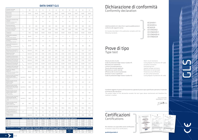| Corrente nominale<br>Nominal current                                                                | ı,                                                                                                                                                                                                                                                                                                                                                                                                    | $[{\mathsf A}]$                                                                     | 25     | 25     | 25     | 25              | 40             | 40             | 40     | 40             | 63     |
|-----------------------------------------------------------------------------------------------------|-------------------------------------------------------------------------------------------------------------------------------------------------------------------------------------------------------------------------------------------------------------------------------------------------------------------------------------------------------------------------------------------------------|-------------------------------------------------------------------------------------|--------|--------|--------|-----------------|----------------|----------------|--------|----------------|--------|
| Dimensioni<br>Dimensions                                                                            | $\Box$                                                                                                                                                                                                                                                                                                                                                                                                | [mm]                                                                                | 26x46  | 26x46  | 26x87  | 26x87           | 26x46          | 26x46          | 26x87  | 26x87          | 26x87  |
| Esecuzione<br>Execution                                                                             |                                                                                                                                                                                                                                                                                                                                                                                                       |                                                                                     | 2P     | 4P     | 6P     | $8\,\mathrm{P}$ | 2P             | 4P             | 6P     | 8P             | 4P     |
| Materiale conduttori fase<br>e neutro<br>Material of phase and<br>neutral conductor                 |                                                                                                                                                                                                                                                                                                                                                                                                       |                                                                                     | Cu     | Cu     | Cu     | Cu              | Cu             | Cu             | Cu     | Cu             | Cu     |
| Tensione esercizio<br>Operational voltage                                                           | $\cup_{\circ}$                                                                                                                                                                                                                                                                                                                                                                                        | $[{\vee}]$                                                                          | 400    | 400    | 400    | 400             | 400            | 400            | 400    | 400            | 400    |
| Tensione isolamento<br>Insulation voltage                                                           | $\bigcup\nolimits_{i}%{\tilde{a}_{i}}^{i}{\tilde{a}_{i}}^{i}{\tilde{a}_{i}}^{i}{\tilde{a}_{i}}^{i}{\tilde{a}_{i}}^{i}{\tilde{a}_{i}}^{i}{\tilde{a}_{i}}^{i}{\tilde{a}_{i}}^{i}{\tilde{a}_{i}}^{i}{\tilde{a}_{i}}^{i}{\tilde{a}_{i}}^{i}{\tilde{a}_{i}}^{i}{\tilde{a}_{i}}^{i}{\tilde{a}_{i}}^{i}{\tilde{a}_{i}}^{i}{\tilde{a}_{i}}^{i}{\tilde{a}_{i}}^{i}{\tilde{a}_{i}}^{i}{\tilde{a}_{i}}^{i}{\til$ | $[ \vee ]$                                                                          | 1.000  | 1.000  | 1.000  | 1.000           | 1.000          | 1.000          | 1.000  | 1.000          | 1.000  |
| Frequenza<br>Frequency                                                                              | f                                                                                                                                                                                                                                                                                                                                                                                                     | [Hz]                                                                                | 50/60  | 50/60  | 50/60  | 50/60           | 50/60          | 50/60          | 50/60  | 50/60          | 50/60  |
| Sezione dei conduttori<br>di fase<br>Cross section phases                                           | $S_{\epsilon}$                                                                                                                                                                                                                                                                                                                                                                                        | $\lceil mm^2 \rceil$                                                                | 2,5    | 2,5    | 2,5    | 2,5             | $\overline{4}$ | $\overline{4}$ | 4      | $\overline{4}$ | 8      |
| Sezione del conduttore<br>di neutro<br>Cross section neutral                                        | $\mathsf{S}_\mathsf{n}$                                                                                                                                                                                                                                                                                                                                                                               | $\left[\text{mm}^2\right]$                                                          | 2,5    | 2,5    | 2,5    | 2,5             | 4              | $\overline{4}$ | 4      | 4              | 8      |
| Sezione PE (involucro in<br>alluminio)<br>Cross section of protective<br>conductor                  | $\mathsf{S}_{\mathsf{PE}}$                                                                                                                                                                                                                                                                                                                                                                            | $\lceil mm^2 \rceil$                                                                | 144    | 144    | 246    | 246             | 144            | 144            | 246    | 246            | 246    |
| Resistenza di fase (20°C)<br>Phase resistance (20°C)                                                | $R_{20}$                                                                                                                                                                                                                                                                                                                                                                                              | $[m\Omega/m]$                                                                       | 8,91   | 8,91   | 8,91   | 8,91            | 5,57           | 5.57           | 5,57   | 5,57           | 2,79   |
| Reattanza di fase<br>Phase reactance                                                                | Χ                                                                                                                                                                                                                                                                                                                                                                                                     | $[m\Omega/m]$                                                                       | 0,155  | 0,155  | 0,155  | 0,155           | 0,143          | 0,143          | 0,143  | 0,143          | 0,08   |
| Impedenza di fase (20°C)<br>Phase Impendance (20°C)                                                 | $Z_{20}$                                                                                                                                                                                                                                                                                                                                                                                              | $[m\Omega/m]$                                                                       | 8,911  | 8,911  | 8,911  | 8,911           | 5,572          | 5,572          | 5,572  | 5,572          | 2,79   |
| Resistenza PE (involucro)<br>PE Resistance (housing)                                                | $\mathsf{R}_{\mathsf{PE}}$                                                                                                                                                                                                                                                                                                                                                                            | $[m\Omega/m]$                                                                       | 0,194  | 0,194  | 0,114  | 0,114           | 0,194          | 0,194          | 0,114  | 0,114          | 0,114  |
| Reattanza PE (involucro)<br>PE Reactance (housing)                                                  | $\mathsf{X}_{_{\mathsf{PE}}}$                                                                                                                                                                                                                                                                                                                                                                         | $[m\Omega/m]$                                                                       | 0,0141 | 0,0141 | 0,0141 | 0,0141          | 0,0141         | 0,0141         | 0,0141 | 0,0141         | 0,141  |
| Impedenza PE (involucro)<br>PE Impedance (housing)                                                  | $Z_{\rm PE}$                                                                                                                                                                                                                                                                                                                                                                                          | $[m\Omega/m]$                                                                       | 0,195  | 0,195  | 0,115  | 0,115           | 0,195          | 0,195          | 0,115  | 0,115          | 0,115  |
| Perdite per effetto<br>Joule a In<br>Losses for the Joule effect<br>at nominal current              | $\mathsf{P}_i$                                                                                                                                                                                                                                                                                                                                                                                        | [W/m]                                                                               | 18,7   | 18,7   | 18,7   | 18,7            | 30,0           | 30,0           | 30,0   | 30,0           | 33.2   |
| Tenuta al corto circuito di<br>breve durata trifase<br>Rated short circuit time<br>current          | lcw(0,1s)                                                                                                                                                                                                                                                                                                                                                                                             | [kA]                                                                                | 2,5    | 2,5    | 2,5    | 2,5             | 3,2            | 3,2            | 3,2    | 3,2            | 3,2    |
| Tenuta al corto circuito<br>di picco trifase<br>Peak current                                        | p                                                                                                                                                                                                                                                                                                                                                                                                     | [kA]                                                                                | 3,75   | 3,75   | 3,75   | 3,75            | 4,8            | 4,8            | 4,8    | 4,8            | 4,8    |
| Tenuta al corto circuito<br>breve durata fase neutro<br>Rated short circuits time<br>of neutral bar | lcw(0.1 s)                                                                                                                                                                                                                                                                                                                                                                                            | [kA]                                                                                | 2,5    | 2,5    | 2,5    | 2,5             | 3,2            | 3,2            | 3,2    | 3,2            | 3,2    |
| Tenuta al corto circuito<br>di picco trifase neutro<br>Peak current<br>of neutral bar               | Ipk                                                                                                                                                                                                                                                                                                                                                                                                   | [kA]                                                                                | 3,75   | 3,75   | 3,75   | 3,75            | 4,8            | 4,8            | 4,8    | 4,8            | 4,8    |
| Tenuta al corto circuito di<br>breve durata fase PE<br>Rated short circuit time<br>of PE            | lcw(0,1s)                                                                                                                                                                                                                                                                                                                                                                                             | [kA]                                                                                | 2,5    | 2,5    | 2,5    | 2,5             | 3,2            | 3,2            | 3,2    | 3,2            | 3,2    |
| Tenuta al corto circuito<br>di picco fase PE<br>Peak current of PE                                  | Ipk                                                                                                                                                                                                                                                                                                                                                                                                   | [kA]                                                                                | 3,75   | 3,75   | 3,75   | 3,75            | 3,75           | 3,75           | 3,75   | 3,75           | 3,75   |
| Limite termico massimo<br>$\vert^2$ • $\vert^2$<br>Max thermal limit $l^2 \cdot t$                  |                                                                                                                                                                                                                                                                                                                                                                                                       | $[A^2-S-10^2]$                                                                      | 193,6  | 193,6  | 193,6  | 193,6           | 495,6          | 495,6          | 495,6  | 495,6          | 495,6  |
| Grado di protezione IP<br>IP degree of protection                                                   | P                                                                                                                                                                                                                                                                                                                                                                                                     |                                                                                     | 55     | 55     | 55     | 55              | 55             | 55             | 55     | 55             | 55     |
| Potere calorico<br>Calorific power                                                                  |                                                                                                                                                                                                                                                                                                                                                                                                       | [kcal/m]                                                                            | 546    | 846    | 1392   | 1692            | 597            | 949            | 1546   | 1898           | 1898   |
|                                                                                                     |                                                                                                                                                                                                                                                                                                                                                                                                       | CADUTA DI TENSIONE PER CARICO DISTRIBUITO • VOLTAGE DROP WITH DISTRIBUTED LOAD [AV] |        |        |        |                 |                |                |        |                |        |
| $Cos\varphi = 1,0$                                                                                  |                                                                                                                                                                                                                                                                                                                                                                                                       | [V/100 m/A]                                                                         | 0,8632 | 0,8632 | 0,8632 | 0,8632          | 0,5398         | 0,5398         | 0,5398 | 0,5398         | 0,2413 |
| $Cos\varphi = 0.9$                                                                                  |                                                                                                                                                                                                                                                                                                                                                                                                       | [V/100 m/A]                                                                         | 0,7828 | 0,7828 | 0,7828 | 0,7828          | 0,4918         | 0,4918         | 0,4918 | 0,4918         | 0,2202 |

COEFFICIENTE K DI CORREZIONE TERMICA PER CALCOLARE LA CORRENTE NOMINALE AMMISSIBILE lz IN FUNZIONE DELLA TEMPERATURA AMBIENTE MEDIA NELLE 24 ORE • SCHEDULE OF RATINGS FOR THE AMBIENT TEMPERATURE IN AVERAGE 24H 10° C | 15° C | 18° C | 20° C | 25° C | 30° C | 35° C | 41**° C |** 45° C | 50° C | 55° C K 1 | 1,19 | 1,18 | 1,16 | 1,16 | 1,12 | 1,08 | 1,04 | 1 | 0,84 | 0,70 | 0,58

## Certificazioni **Certifications**



Cosϕ = 0,8 [V/100 m/A] 0,6988 0,6988 0,6988 0,6988 0,4393 0,4393 0,4393 0,4393 0,1973 Cosϕ = 0,7 [V/100 m/A] 0,6140 0,6140 0,6140 0,6140 0,3868 0,3868 0,3868 0,3868 0,1738

## Dichiarazione di conformità Conformity declaration

L'elettrocondotto GLS descritto in questa pubblicazione è conforme alle seguenti norme:

GLS busbar described in this publication complies with the following standards:

IEC61439-1 IEC61439-6 IEC60529 CEI EN50102 CEI EN61439-1 CEI EN61439-6 CEI EN60529

## Prove di tipo Type test

Tenuta al corto circuito Grado di protezione degli involucri (codice IP) Resistenza di isolamento Limite di sovratemperatura Tenuta alla tensione applicata Resistenza ai carichi normali Efficienza del circuito di protezione Distanze in aria e superficiali Grado di protezione degli involucri (codice IK) Short-circuit resistance Insulation resistance Overheating limit Applied voltage resistance Resistance to normal loads Protective circuit efficiency Air and surface distances

- Casing degree of protection (IP code)
	-
	-
	-
	-
	-
	-
- Casing degree of protection (IK code)

Il prodotto oggetto di questa dichiarazione ha superato le prove sopra specificate e pertanto il materiale è ammesso alla marcatura:

The product object of this declaration exceeds the test types above mentionned and therefore this material is marked:

> Rivoli, 07/01/2005 GRAZIADIO & C. S.p.A.

 $\frac{1}{\sqrt{1-\frac{1}{2}}\sqrt{\frac{1}{2}}\sqrt{\frac{1}{2}}\sqrt{\frac{1}{2}}\sqrt{\frac{1}{2}}\sqrt{\frac{1}{2}}\sqrt{\frac{1}{2}}\sqrt{\frac{1}{2}}\sqrt{\frac{1}{2}}\sqrt{\frac{1}{2}}\sqrt{\frac{1}{2}}\sqrt{\frac{1}{2}}\sqrt{\frac{1}{2}}\sqrt{\frac{1}{2}}\sqrt{\frac{1}{2}}\sqrt{\frac{1}{2}}\sqrt{\frac{1}{2}}\sqrt{\frac{1}{2}}\sqrt{\frac{1}{2}}\sqrt{\frac{1}{2}}\sqrt{\frac{1}{2}}\sqrt{\frac{1}{2}}\sqrt{\frac{1}{2}}\sqrt{\frac{1$ 



 $\bullet$  $\begin{picture}(20,20) \put(0,0){\line(1,0){10}} \put(15,0){\line(1,0){10}} \put(15,0){\line(1,0){10}} \put(15,0){\line(1,0){10}} \put(15,0){\line(1,0){10}} \put(15,0){\line(1,0){10}} \put(15,0){\line(1,0){10}} \put(15,0){\line(1,0){10}} \put(15,0){\line(1,0){10}} \put(15,0){\line(1,0){10}} \put(15,0){\line(1,0){10}} \put(15,0){\line(1$  **GLACIERS** 

**hurry** 

Per ottenere una copia delle nostre certificazioni: To receive a copy of our certifications:

qualita@graziadio.it

24 GLS  $\blacksquare$ 

#### DATA SHEET GLS